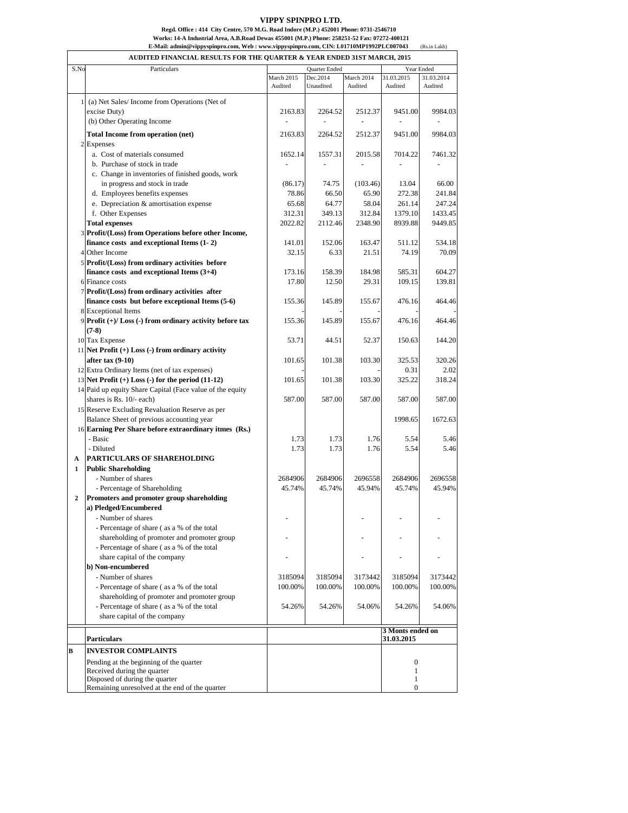## **VIPPY SPINPRO LTD.**

## **Regd. Office : 414 City Centre, 570 M.G. Road Indore (M.P.) 452001 Phone: 0731-2546710**

**Works: 14-A Industrial Area, A.B.Road Dewas 455001 (M.P.) Phone: 258251-52 Fax: 07272-400121**

(Rs.in Lakh) **E-Mail: [admin@vippyspinpro.com,](mailto:admin@vippyspinpro.com,) Web : [www.vippyspinpro.com,](http://www.vippyspinpro.com,) CIN: L01710MP1992PLC007043**

 $\Gamma$ 

|                |                                                                                                    | AUDITED FINANCIAL RESULTS FOR THE QUARTER & YEAR ENDED 31ST MARCH, 2015 |                       |            |                  |                          |
|----------------|----------------------------------------------------------------------------------------------------|-------------------------------------------------------------------------|-----------------------|------------|------------------|--------------------------|
| S.No           | Particulars                                                                                        |                                                                         | Quarter Ended         | March 2014 | 31.03.2015       | Year Ended<br>31.03.2014 |
|                |                                                                                                    | March 2015<br>Audited                                                   | Dec.2014<br>Unaudited | Audited    | Audited          | Audited                  |
|                |                                                                                                    |                                                                         |                       |            |                  |                          |
|                | 1 (a) Net Sales/Income from Operations (Net of<br>excise Duty)                                     | 2163.83                                                                 | 2264.52               | 2512.37    | 9451.00          | 9984.03                  |
|                | (b) Other Operating Income                                                                         |                                                                         | $\overline{a}$        |            |                  |                          |
|                |                                                                                                    |                                                                         |                       |            |                  |                          |
|                | <b>Total Income from operation (net)</b>                                                           | 2163.83                                                                 | 2264.52               | 2512.37    | 9451.00          | 9984.03                  |
|                | 2 Expenses                                                                                         |                                                                         |                       |            |                  |                          |
|                | a. Cost of materials consumed                                                                      | 1652.14                                                                 | 1557.31               | 2015.58    | 7014.22          | 7461.32                  |
|                | b. Purchase of stock in trade                                                                      |                                                                         |                       |            |                  |                          |
|                | c. Change in inventories of finished goods, work                                                   |                                                                         |                       |            |                  |                          |
|                | in progress and stock in trade                                                                     | (86.17)                                                                 | 74.75                 | (103.46)   | 13.04            | 66.00                    |
|                | d. Employees benefits expenses                                                                     | 78.86                                                                   | 66.50                 | 65.90      | 272.38           | 241.84                   |
|                | e. Depreciation & amortisation expense                                                             | 65.68                                                                   | 64.77                 | 58.04      | 261.14           | 247.24                   |
|                | f. Other Expenses                                                                                  | 312.31                                                                  | 349.13                | 312.84     | 1379.10          | 1433.45                  |
|                | <b>Total expenses</b>                                                                              | 2022.82                                                                 | 2112.46               | 2348.90    | 8939.88          | 9449.85                  |
|                | 3 Profit/(Loss) from Operations before other Income,                                               |                                                                         |                       |            |                  |                          |
|                | finance costs and exceptional Items (1-2)                                                          | 141.01                                                                  | 152.06                | 163.47     | 511.12           | 534.18                   |
|                | 4 Other Income                                                                                     | 32.15                                                                   | 6.33                  | 21.51      | 74.19            | 70.09                    |
|                | 5 Profit/(Loss) from ordinary activities before                                                    |                                                                         |                       |            |                  |                          |
|                | finance costs and exceptional Items $(3+4)$                                                        | 173.16                                                                  | 158.39                | 184.98     | 585.31           | 604.27<br>139.81         |
|                | 6 Finance costs                                                                                    | 17.80                                                                   | 12.50                 | 29.31      | 109.15           |                          |
|                | 7 Profit/(Loss) from ordinary activities after<br>finance costs but before exceptional Items (5-6) | 155.36                                                                  | 145.89                | 155.67     | 476.16           | 464.46                   |
|                | 8 Exceptional Items                                                                                |                                                                         |                       |            |                  |                          |
|                | $9$ Profit $(+)/$ Loss $(-)$ from ordinary activity before tax                                     | 155.36                                                                  | 145.89                | 155.67     | 476.16           | 464.46                   |
|                | $(7-8)$                                                                                            |                                                                         |                       |            |                  |                          |
|                | 10 Tax Expense                                                                                     | 53.71                                                                   | 44.51                 | 52.37      | 150.63           | 144.20                   |
|                | 11 Net Profit $(+)$ Loss $(-)$ from ordinary activity                                              |                                                                         |                       |            |                  |                          |
|                | after tax $(9-10)$                                                                                 | 101.65                                                                  | 101.38                | 103.30     | 325.53           | 320.26                   |
|                | 12 Extra Ordinary Items (net of tax expenses)                                                      |                                                                         |                       |            | 0.31             | 2.02                     |
|                | 13 Net Profit $(+)$ Loss $(-)$ for the period $(11-12)$                                            | 101.65                                                                  | 101.38                | 103.30     | 325.22           | 318.24                   |
|                | 14 Paid up equity Share Capital (Face value of the equity                                          |                                                                         |                       |            |                  |                          |
|                | shares is Rs. 10/- each)                                                                           | 587.00                                                                  | 587.00                | 587.00     | 587.00           | 587.00                   |
|                | 15 Reserve Excluding Revaluation Reserve as per                                                    |                                                                         |                       |            |                  |                          |
|                | Balance Sheet of previous accounting year                                                          |                                                                         |                       |            | 1998.65          | 1672.63                  |
|                | 16 Earning Per Share before extraordinary itmes (Rs.)                                              |                                                                         |                       |            |                  |                          |
|                | - Basic                                                                                            | 1.73                                                                    | 1.73                  | 1.76       | 5.54             | 5.46                     |
|                | - Diluted                                                                                          | 1.73                                                                    | 1.73                  | 1.76       | 5.54             | 5.46                     |
| A              | <b>PARTICULARS OF SHAREHOLDING</b>                                                                 |                                                                         |                       |            |                  |                          |
| 1              | <b>Public Shareholding</b>                                                                         |                                                                         |                       |            |                  |                          |
|                | - Number of shares                                                                                 | 2684906                                                                 | 2684906               | 2696558    | 2684906          | 2696558                  |
|                | - Percentage of Shareholding                                                                       | 45.74%                                                                  | 45.74%                | 45.94%     | 45.74%           | 45.94%                   |
| $\overline{2}$ | Promoters and promoter group shareholding                                                          |                                                                         |                       |            |                  |                          |
|                | a) Pledged/Encumbered                                                                              |                                                                         |                       |            |                  |                          |
|                | - Number of shares                                                                                 |                                                                         |                       |            |                  |                          |
|                | - Percentage of share (as a % of the total                                                         |                                                                         |                       |            |                  |                          |
|                | shareholding of promoter and promoter group                                                        |                                                                         |                       |            |                  |                          |
|                | - Percentage of share (as a % of the total                                                         |                                                                         |                       |            |                  |                          |
|                | share capital of the company                                                                       |                                                                         |                       |            |                  |                          |
|                | b) Non-encumbered                                                                                  |                                                                         |                       |            |                  |                          |
|                | - Number of shares                                                                                 | 3185094                                                                 | 3185094               | 3173442    | 3185094          | 3173442                  |
|                | - Percentage of share (as a % of the total                                                         | 100.00%                                                                 | 100.00%               | 100.00%    | 100.00%          | 100.00%                  |
|                | shareholding of promoter and promoter group                                                        |                                                                         |                       |            |                  |                          |
|                | - Percentage of share (as a % of the total                                                         | 54.26%                                                                  | 54.26%                | 54.06%     | 54.26%           | 54.06%                   |
|                | share capital of the company                                                                       |                                                                         |                       |            |                  |                          |
|                |                                                                                                    |                                                                         |                       |            | 3 Monts ended on |                          |
|                | <b>Particulars</b>                                                                                 |                                                                         |                       |            | 31.03.2015       |                          |
| B              | <b>INVESTOR COMPLAINTS</b>                                                                         |                                                                         |                       |            |                  |                          |
|                | Pending at the beginning of the quarter                                                            |                                                                         |                       |            | $\boldsymbol{0}$ |                          |
|                | Received during the quarter                                                                        |                                                                         |                       |            | $\mathbf{1}$     |                          |
|                | Disposed of during the quarter                                                                     |                                                                         |                       |            | $\mathbf{1}$     |                          |
|                | Remaining unresolved at the end of the quarter                                                     |                                                                         |                       |            | $\mathbf{0}$     |                          |